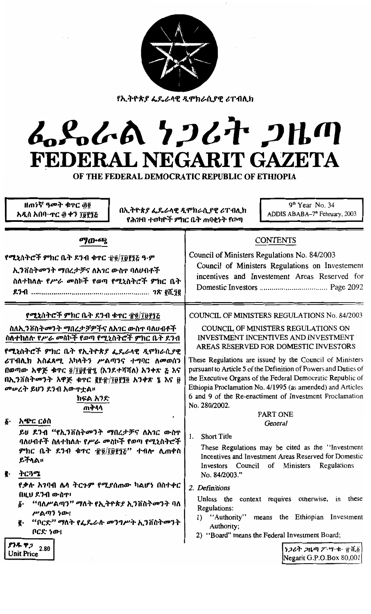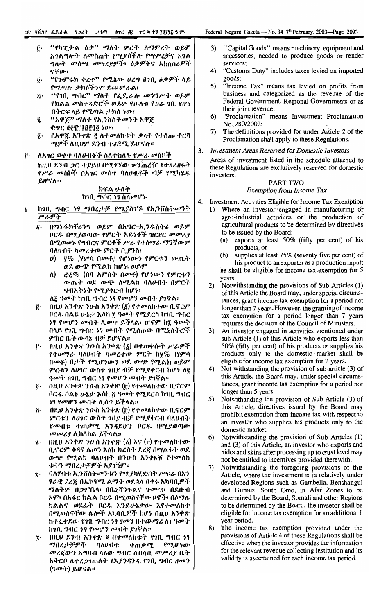- "የካፒታል *ዕቃ*" ማለት ምርት ለማምረት ወይም ŕ٠ አገልግሎት ለመስጠት የሚያስችሉ የማምረቻና አገል *ግ*ሎት መስጫ መሣሪያዎች፣ ዕቃዎችና አክሰሰሪዎች ናቸው፣
- "የጉምሩክ ቀረዋ" የሚለው ሀረግ በገቢ ዕቃዎች ላይ  $\ddot{\mathbf{0}}$ የሚጣሉ ታክሶችንም ይጨምራል፤
- "የገቢ ግብር" ማስት የፌዴራሉ መንግሥት ወይም  $\tilde{c}$ . የክልል መስተዳድሮች ወይም የሁለቱ የ*ጋ*ራ 1ቢ የሆነ በትርፍ ላይ የሚጣል ታክስ ነው፤
- i. "አዋጅ" ማለት የኢንቨስትመንት አዋጅ ቁጥር ፪፻፹/፲፱፻፺፬ ነው፣
- በአዋጁ አንቀጽ ፪ ለተመለከቱት ቃላት የተሰጡ ትርጓ î٠ ሜዎች ለዚህም ደንብ ተፈፃሚ ይሆናሉ።

ለአ*ገር ውስ*ዋ ባለሀብቶች ስለተከለሉ የ*ሥራ መ*ስኮች i٠. ከዚህ ደንብ ጋር ተያይዞ በሚገኘው ሥንጠረዥ የተዘረዘሩት የሥራ መስኮች በአገር ውስጥ ባለሀብቶች ብቻ የሚካሂዱ ይሆናሉ።

## ክፍል ሁለት ከንቢ ማብር ነፃ ስለመሆኑ

- ከኀቢ ግብር ነፃ ማበረታቻ የሚያስገኙ የኢንቨስትመንት  $\ddot{\mathbf{0}}$ . ሥራዎች
	- በማኑፋክቸሪንግ ወይም በአግሮ-ኢንዱስትሪ ወይም  $\ddot{\boldsymbol{b}}$ . ቦርዱ በሚያወጣው የምርት አይነቶች ዝርዘር መመሪያ በማወሥኑ የግብርና ምርቶች ሥራ የተሰማራ ማንኛውም ባለሁብት ካመረተው ምርት ቢያንስ፣
		- $\bm{v}$ ) <u>ያ</u>% /ሃምሳ በመቶ/ የሆነውን የምርቱን ውጤት ወደ ውጭ የሚልክ ከሆነ፤ ወይም
		- *፸፩%* (ሰባ አምስት በመቶ) የሆነውን የምርቱን ለ) ውጤት ወደ ውጭ ለሚልክ ባለሀብት በምርት ግብአትነት የሚያቀርብ ከሆነ፡
		- ለ፭ ዓመት ከኀቢ ግብር ነፃ የመሆን መብት ያገኛል።
	- በዚህ አንቀጽ ንውስ አንቀጽ  $(\vec{\beta})$  የተመለከተው ቢኖርም ĝ. ቦርዱ በልዩ ሁኔታ እስከ ፯ ዓመት የሚደርስ ከንቢ ግብር ነፃ የመሆን መብት ሲሥዋ ይችላል፣ ሆኖም ከ፯ ዓመት በላይ የኀቢ ግብር ነፃ መብት የሚሰጠው በሚኒስትሮች ምክር ቤት ውሳኔ ብቻ ይሆናል።
	- ŕ٠ በዚህ አንቀጽ ንዑስ አንቀጽ (፩) በተጠቀሱት ሥራዎች የተሥማራ ባለሀብት ካመረተው ምርት ከ፶% (ሃምሳ በመቶ) በታች የሚሆነውን ወደ ውጭ የሚልክ ወይም ምርቱን ለሀገር ውስጥ ገበያ ብቻ የሚያቀርብ ከሆነ ለ፪ *ዓመት* ከንቢ ግብር ነፃ የመሆን መብት ያንኛል።
	- በዚህ አንቀጽ ንዑስ አንቀጽ (፫) የተመለከተው ቢኖርም ö. ቦርዱ በልዩ ሁኔታ እስከ ፩ ዓመት የሚደርስ ከ1ቢ ግብር *ነዓ የመሆን መ*ብት ሊሰዋ ይችላል።
	- በዚህ አንቀጽ ንዑስ አንቀጽ (፫) የተመለከተው ቢኖርም  $\tilde{G}$ . ምርቱን ለሀገር ውስጥ ገበያ ብቻ የሚያቀርብ ባለሀብት የመብቱ ተጠቃሚ እንዳይሆን ቦርዱ በሚያወጣው *መመሪያ* ሊከለከል ይችላል፡፡
	- z. በዚሀ አንቀጽ ንዑስ አንቀጽ  $(\underline{\delta})$  እና  $(\underline{\tilde{r}})$  የተመለከተው ቢኖርም ቆዳና ሌጦን እስከ ክረስት ደረጃ በማልፋት ወደ ውጭ የሚልክ ባለሀብት በንዑስ አንቀጾቹ የተመለከ ቱትን ማበረታቻዎች አያገኝም።
	- $\ddot{\mathbf{z}}$ . ባለሃብቱ ኢንቨስትመንቱን የሚያካሂድበት ሥፍራ በአን ፃራዊ ደረጃ በኤኮኖሚ ልማት ወደኋላ በቀሩ አካባቢዎች ማለትም በጋምቤላ፥ በቤኒሻንጉልና ጉሙዝ፥ በደቡብ አሞ፣ በአፋር ክልል ቦርዱ በሚወስናቸው ዞኖች፣ በሶማሌ ክልልና ወደፊት ቦርዱ እንደሁኔታው እየተመለከተ በሚወስናቸው ሌሎች አካባቢዎች ከሆነ በዚህ አንቀጽ ከተፈቀደው የኀቢ ግብር ነፃ ዘመን በተጨማሪ ለ1 ዓመት ከንቢ ግብር ነፃ የመሆን መብት ያነኛል።
	- $\ddot{\mathbf{T}}$  . በዚህ ደንብ አንቀጽ ፬ በተመለከቱት የኀቢ ግብር ነፃ ማበረታ ታዎች ባለ $\bm{\nu}$ ብተ የሚሆነው ተጠቃሚ መረጀውን አግባብ ላለው ግብር ሰብሳቢ መሥሪያ ቤት አቅርቦ ለተረ*ጋገ*ጠለት ለእ*ያንዳንዱ* የኀቢ ግብር ዘመን (ዓመት) ይሆናል።
- "Capital Goods" means machinery, equipment and  $3)$ accessories, needed to produce goods or render services;
- "Customs Duty" includes taxes levied on imported  $4)$
- goods;<br>"Income Tax" means tax levied on profits from  $5)$ business and categorized as the revenue of the Federal Government, Regional Governments or as their joint revenue;
- "Proclamation" means Investment Proclamation  $6)$ No. 280/2002;
- The definitions provided for under Article 2 of the 7) Proclamation shall apply to these Regulations.
- 3. Investment Areas Reserved for Domestic Investors

Areas of investment listed in the schedule attached to these Regulations are exclusively reserved for domestic investors.

#### **PART TWO Exemption from Income Tax**

Investment Activities Eligible for Income Tax Exemption

4.

- Where an investor engaged in manufacturing or  $1)$ agro-industrial activities or the production of agricultural products to be determined by directives to be issued by the Board;
	- (a) exports at least 50% (fifty per cent) of his products, or
	- supplies at least 75% (seventy five per cent) of (b) his product to an exporter as a production input; he shall be eligible for income tax exemption for 5 years.
- Notwithstanding the provisions of Sub Articles (1)  $(2)$ of this Article the Board may, under special circumstances, grant income tax exemption for a period not longer than 7 years. However, the granting of income tax exemption for a period longer than 7 years requires the decision of the Council of Ministers.
- 3) An investor engaged in activities mentioned under sub Article (1) of this Article who exports less than 50% (fifty per cent) of his products or supplies his products only to the domestic market shall be eligible for income tax exemption for 2 years.
- $4)$ Not withstanding the provision of sub article (3) of this Article, the Board may, under special circumstances, grant income tax exemption for a period not longer than 5 years.
- Notwithanding the provision of Sub Article (3) of 5) this Article, directives issued by the Board may prohibit exemption from income tax with respect to an investor who supplies his products only to the domestic market.
- 6) Notwithstanding the provision of Sub Articles (1) and (3) of this Article, an investor who exports and hides and skins after processing up to crust level may not be entitled to incentives provided there with.
- 7) Notwithstanding the foregoing provisions of this Article, where the investment is in relatively under developed Regions such as Gambella, Benshangul and Gumuz, South Omo, in Afar Zones to be determined by the Board, Somali and other Regions to be determined by the Board, the invsetor shall be eligible for income tax exemption for an additional 1 year period.
- 8) The income tax exemption provided under the provisions of Article 4 of these Regulations shall be effective when the investor provides the information for the relevant revenue collecting institution and its validity is ascertained for each income tax period.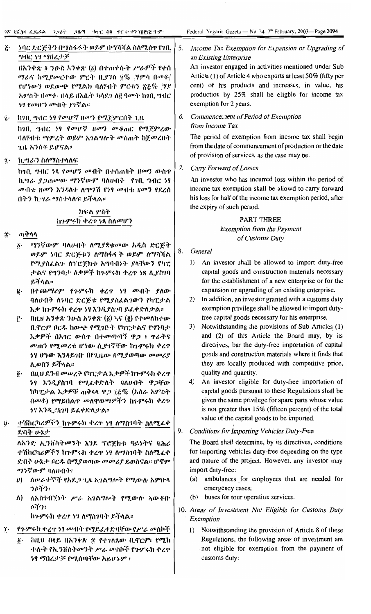#### ንባር ድርጅትን በማስፋፋት ወይም በማሻሻል ስለሚስተ የነቢ  $\ddot{c}$ . *ግ*ብር 59 ማበረታቻ

በአንቀጽ ፬ ንዑስ አንቀጽ (፩) በተጠቀሱት ሥራዎች የተሰ *ማራና ከሚያመርተው ምርት ቢያንስ ፶% |ሃምሳ በመቶ|* የሆነውን ወደውጭ የሚልክ ባለሃብት ምርቱን ፳፩% /ሃያ አምስት በሙቶ/ በላይ በእሴት ካሳደን ለ፪ ዓመት ከንቢ ግብር *ነባ የመሆን መብት ያገ*ኛል።

፮· ከ10, ዋብር 59 የመሆኛ ዘመን የሚጀምርበት 1.ዜ

ከገበ. ግብር 59 የመሆኛ ዘመን መቆጠር የሚጀምረው ባለሃብቱ ማምረት ወይም አንልግሎት መስጠት ከጀመረበት ጊዜ አንስቶ ይሆናል።

ኪ.ሣራን ስለማስተላለፍ  $\ddot{\mathbf{z}}$ .

> ከኅቢ ግብር ነጻ የመሆን መብት በተሰጠበት ዘመን ውስዋ ኪግራ ያጋጠመው ማንኛውም ባለሀብት የኀቢ ግብር ነፃ መብቱ ዘመን እንዳለቀ ለግማሽ የነፃ መብቱ ዘመን የደረሰ በትን ኪ*ግራ ግ*ስተላለፍ ይችላል።

## ክፍል ሦስት ከጉምሩክ ቀረዋ ነጻ ስለመሆን

- ጠቅሳሳ  $\hat{\mathbf{T}}$ 
	- ፩· ማንኛውም ባለሀብት ለሚያቋቁመው አዲስ ድርጅት ወይም ነባር ድርጅቱን ለማስፋፋት ወይም ለማሻሻል የሚያስፌልጉ ለፕሮጀክቱ አግባብነት ያላቸውን የካፒ ታልና የግንባታ ዕቃዎች ከጉምሩክ ቀረዋ ነጻ ሊያስገባ ይችላል።
	- በተጨማሪም የጉምሩክ ቀረዋ ነፃ መብት ያለው ë. ባለሀብት ለነባር ድርጅቱ የሚያስፌልገውን የካፒታል እቃ ከጉምሩክ ቀረዋ ነፃ እንዲያስገባ ይፈቀድለታል።
	- በዚህ አንቀጽ ንውስ አንቀጽ  $(\delta)$  ኣና  $(\tilde{g})$  የተመለከተው Ê۰ ቢኖርም ቦርዱ ከውጭ የሚገቡት የካፒታልና የግንባታ እቃዎች በአገር ውስዋ በተመጣጣኝ ዋጋ ፣ ዋራትና መጠን የሚመረቱ ሆነው ሲያገኛቸው ከጉምሩክ ቀረዋ ነፃ ሆነው እንዳይገበ በየጊዜው በሚያወጣው መመሪያ ሊወስን ይችላል።
	- በዚህ ደንብ መሠረት የካፒታል እቃዎች ከጉምሩክ ቀረጥ  $\ddot{\mathbf{0}}$ . ነፃ እንዲያስገባ የሚፈቀድለት ባለሀብት ዋጋቸው ከካፒታል እቃዎቹ ጠቅላላ ዋጋ ፲፭% (አስራ አምስት በመቶ) የማይበልዋ መለዋወጫዎችን ከጉምሩክ ቀረዋ ንፃ እንዲያስገባ ይፈቀድለታል።
- ተሽከርካሪዎችን ከጉምሩክ ቀረዋ ነፃ ለማስገባት ስለሚፌቀ ŷ. ድበት ሁኔታ

ለአንድ ኢንቨስትመንት እንደ ፕሮጀክቱ ዓይነትና ባሕሪ ተሽከርካሪዎችን ከንምሩክ ቀረዋ ነፃ ለማስገባት ስለሚፈቀ ድበት ሁኔታ ቦርዱ በሚያወጣው መመሪያ ይወስናል። ሆኖም ማንኛውም ባለሀብት፣

- $\theta$ ) ለሥራተኞች የአደጋ ጊዜ አገልግሎት የሚውሉ አምቡላ うでぞう
- ለአስኅብኘነት ሥራ አገልግሎት የሚውሉ አውቶቡ  $\Lambda$  $0.131$

ከጉምሩክ ቀረጥ ነፃ ለማስገባት ይችላል።

- የንምሩክ ቀረጥ ነፃ መብት የማይፈቀድባቸው የሥራ መስኮች  $\dddot{\mathbf{r}}$ .
	- Έ٠ ከዚህ በላይ በአንቀጽ ጅ የተገለጸው ቢኖርም፣ የሚከ ተለት የኢንቨስትመንት ሥራ መስኮች የጉምሩክ ቀረዋ ነፃ ማበረታቻ የሚሰጣቸው አይሆኑም ፡

Federal Negarit Gazeta — No. 34  $7<sup>th</sup>$  February, 2003—Page 2094

#### 5. Income Tax Exemption for Expansion or Upgrading of an Existing Enterprise

An investor engaged in activities mentioned under Sub Article (1) of Article 4 who exports at least 50% (fifty per cent) of his products and increases, in value, his production by 25% shall be eligble for income tax exemption for 2 years.

#### Commencement of Period of Exemption 6. from Income Tax

The period of exemption from income tax shall begin from the date of commencement of production or the date of provision of services, as the case may be.

7. Carry Forward of Losses

An investor who has incurred loss within the period of income tax exemption shall be allowd to carry forward his loss for half of the income tax exemption period, after the expiry of such period.

## PART THREE **Exemption from the Payment** of Customs Duty

- 8. General
	- 1) An investor shall be allowed to import duty-free capital goods and construction materials necessary for the establishment of a new enterprise or for the expansion or upgrading of an existing enterprise.
	- 2) In addition, an investor granted with a customs duty exemption privilege shall be allowed to import dutyfree capital goods necessary for his enterprise.
	- 3) Notwithstanding the provisions of Sub Articles (1) and (2) of this Article the Board may, by its directives, bar the duty-free importation of capital goods and construction materials where it finds that they are locally produced with competitive price, quality and quantity.
	- 4) An investor eligible for duty-free importation of capital goods pursuant to these Regulations shall be given the same privilege for spare parts whose value is not greater than 15% (fifteen percent) of the total value of the capital goods to be imported.

#### 9. **Conditions for Importing Vehicles Duty-Free**

The Board shall determine, by its directives, conditions for importing vehicles duty-free depending on the type and nature of the project. However, any investor may import duty-free:

- (a) ambulances for employees that are needed for emergency cases;
- (b) buses for tour operation services.
- 10. Areas of Investment Not Eligible for Customs Duty Exemption
	- 1) Notwithstanding the provision of Article 8 of these Regulations, the following areas of investment are not eligible for exemption from the payment of customs duty: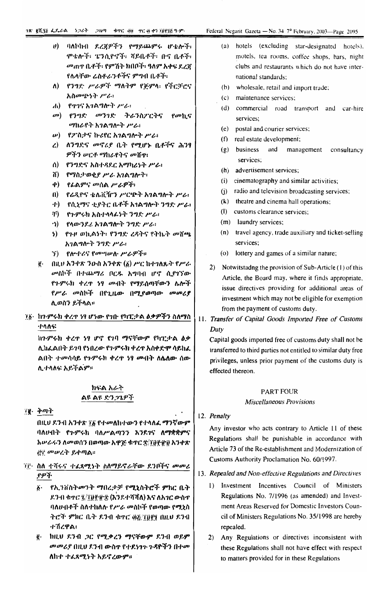- $v$ ) ባለኮከብ ደረጃዎችን የማይጨምሩ ሆቴሎች፣ ምቴሎች፥ ፔንሲዮኖች፥ ሻይቤቶች፥ ቡና ቤቶች፥ *መ*ጠዋ ቤቶች፡ የምሽት ክበቦች፡ ዓለም አቀፍ ደረጃ የሌላቸው ሬስቶራንቶችና ምግብ ቤቶች፣
- ለ) የንግድ ሥራዎች ማለትም የጅምሳ፡ የችርቻሮና አስመጭነት ሥራ፡
- $\mathbf{d}$  and the control of the control of the control of the control of the control of the control of the control of the control of the control of the control of the control of the control of the control of the control o
- መ) የንግድ መንገድ ትራንስ**ፖርት**ና የመኪና ማከራየት አገልግሎት ሥራ።
- ψ) የፖስታና ኩሪየር አ*ገ*ልግሎት ሥራ፤
- ረ) ለንግድና መኖሪያ ቤት የሚሆኑ ቤቶችና ሕንፃ ዎችን ሥርቶ ማከራየትና መሸዋ፣
- ስ) የንግድና አስተዳደር አማካሪነት ሥራ፥
- ሽ) የማስታወቂያ ሥራ አገልግሎት፡
- ቀ) የፊልምና መሰል ሥራዎች፡
- በ) የሬዲዮና ቴሌቪዥን ሥርጭት አገልግሎት ሥራ፡
- ተ) የሲኒማና ቲያትር ቤቶች አገልግሎት ንግድ ሥራ፤
- ቸ) የጉምሩክ አስተላላፊነት ንግድ ሥራ፣
- ን) የላውንዶሪ አገልግሎት ንግድ ሥራ፣
- ነ) የጉዞ ወኪልነት፡ የንግድ ረዳትና የትኬት መሸጫ አገልግሎት ንግድ ሥራ፥
- *ኘ) የሎተሪና የመግሠሉ ሥራዎች*።
- $\ddot{g}$  = በዚህ አንቀጽ ንውስ አንቀጽ (፩) ሥር ከተገለጹት የሥራ መስኮች በተጨማሪ ቦርዱ አግባብ ሆኖ ሲያገኘው የጉምሩክ ቀረዋ ነፃ ሙበት የማይሰጣቸውን ሴሎች የሥራ መስኮች በየጊዜው በሚያወጣው መመሪያ ሊወስን ይችላል።
- ፲፩ ከንምሩክ ቀረጥ ነፃ ሆነው የንቡ የካፒታ ል ዕቃዎችን ስለማስ ተሳለፍ

ከንምሩክ ቀረጥ ነፃ ሆኖ የነባ ማናቸውም የካፒታል ዕቃ ሊክፌልበት ይገባ የነበረው የጉምሩክ ቀረጥ አስቀድም ሳይከሬ ልበት ተመሳሳይ የጉምሩክ ቀረዋ ነፃ መብት ለሴለው ሰው ሊ ተሳለፍ አይችልም።

## ክፍል አራት ልዩ ልዩ ድንጋጌዎች

्रहू. केमाने

በዚህ ደንብ አንቀጽ ፲፩ የተመለከተውን የተላለፈ ማንኛውም ባለሀብት የጉምሩክ ባለሥልጣንን እንደገና ለማቋቋምና አሥራሩን ለመወሰን በወጣው አዋጅ ቁጥር ድ/፲፬፻፹፱ አንቀጽ ረቅቮ መሠረት ይቀጣል።

- ፲፱· ስለ ተሻሩና ተፈጻሚነት ስለማይኖራቸው ደንቦችና *መመሪ* .የዎች
	- ፩· የኢንቨስትመንት ማበረታቻ የሚኒስትሮች ምክር ቤት ዶንብ ቁጥር ፯/፲፱፻፹፰ (እንደተሻሻለ) እና ለአገር ውስጥ ባለሀብቶች ስለተከለሉ የሥራ መስኮች የወጣው የሚኒስ ትሮች ምክር ቤት ዶንብ ቁዋር ፴፩/፲፱፻፶ በዚህ ዶንብ ተሽረዋል፡
	- ፪· ከዚህ ደንብ ጋር የሚቃረን ማናቸውም ደንብ ወይም መመሪያ በዚህ ደንብ ውስጥ የተደነገጉ ጉዳዮችን በተመ ለከተ ተፈጸሚነት አይኖረውም።
- (a) hotels (excluding star-designated hotels), motels, tea rooms, coffee shops, bars, night clubs and restaurants which do not have international standards:
- (b) wholesale, retail and import trade;
- (c) maintenance services:
- (d) commercial road transport and car-hire services;
- (e) postal and courier services;
- $(f)$ real estate development;
- $(g)$  business and management consultancy services:
- (h) advertisement services;
- (i) cinematography and similar activities;
- (j) radio and television broadcasting services;
- (k) theatre and cinema hall operations;
- (l) customs clearance services;
- (m) laundry services;
- (n) travel agency, trade auxiliary and ticket-selling services;
- (o) lottery and games of a similar nature;
- 2) Notwitstading the provision of Sub-Article (1) of this Article, the Board may, where it finds appropriate, issue directives providing for additional areas of investment which may not be eligible for exemption from the payment of customs duty.
- 11. Transfer of Capital Goods Imported Free of Customs Duty

Capital goods imported free of customs duty shall not be transferred to third parties not entitled to similar duty free privileges, unless prior payment of the customs duty is effected thereon.

## **PART FOUR Miscellaneous Provisions**

12. Penalty

Any investor who acts contrary to Article 11 of these Regulations shall be punishable in accordance with Article 73 of the Re-establishment and Modernization of Customs Authority Proclamation No. 60/1997.

- 13. Repealed and Non-effective Regulations and Directives
	- 1) Investment Incentives Council of Ministers Regulations No. 7/1996 (as amended) and Investment Areas Reserved for Domestic Investors Council of Ministers Regulations No. 35/1998 are hereby repealed.
	- 2) Any Regulations or directives inconsistent with these Regulations shall not have effect with respect to matters provided for in these Regulations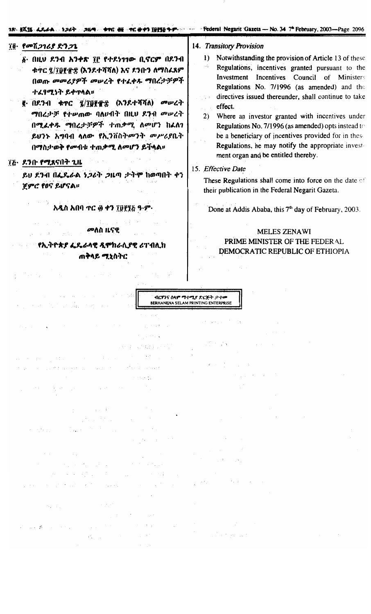### 

## ፲፬· የመሸ*ጋገሪያ ድንጋጌ*

- ል በዚህ ደንብ አንቀጽ ፲፫ የተደነገገው ቢኖርም በደንብ ቁጥር ፂ/፲፱፻፹፰ (እንደተሻሻለ) እና ደንቡን ለማስፌጸም በወጡ መመሪያዎች መሠረት የተፈቀዱ ማበረታቻዎች ተፈፃሚነት ይቀጥላል።
- g በደንብ ቁጥር ፯/፻፱፻፹፰ (አንደተሻሻለ) መሠረት ማበረታቻ የተሥጠው ባለሀብት በዚህ ደንብ መሥረት በሚፈቀዱ ማበረታቻዎች ተጠቃሚ ለመሆን ከፌለን ይህንኑ አግባብ ሳለው የኢንቨስትመንት መሥራያቤት በማስታወቅ የመብቱ ተጠቃሚ ለመሆን ይችላል።

## ፲፭· ዶንቡ የሚጸናበት ጊዜ

an and self

**Carl College** 

 $\mathcal{A}$  for  $\mathcal{A}$  , and  $\mathcal{A}$ 

 $\mathcal{L}^{\text{max}}_{\text{max}}$ 

 $\label{eq:2.1} \left\langle \left(x_{i}^{(1)},\ldots,x_{i}^{(n)}\right)\right\rangle =\left\langle x_{i}^{(1)},\ldots,x_{i}^{(n)}\right\rangle \left\langle x_{i}^{(1)},\ldots,x_{i}^{(n)}\right\rangle$ 

 $\sim 10^{11}$  km  $^{-1}$ 

 $\mathcal{F} = \mathcal{Q} \mathcal{F}^{(1)} = \{ \mathcal{F}^{(1)} \}_{1 \leq i \leq n} \mathcal{F}^{(2)} \left( \mathcal{F}^{(1)} \right) \mathcal{F}^{(1)} \left( \mathcal{F}^{(2)} \right) \mathcal{F}^{(1)} \left( \mathcal{F}^{(2)} \right) \mathcal{F}^{(1)} \left( \mathcal{F}^{(1)} \right)$ 

 $\mathcal{F}_1$  ,  $\mathcal{F}_2$  ,  $\mathcal{F}_3$ 

kan de talendarioù

ይህ ደንብ በፌዴራል ነጋሪት ጋዜጣ ታትሞ ከወጣበት ቀን ጀምሮ የዐና ይሆናል።

አዲስ አበባ ተር ፴ ቀን ፲፱፻፺፭ ዓ.ም.

## መለስ ዜናዊ

**የኢትዮጵያ ፌዴራሳዊ ዲሞከራሲያዊ ሪፐብሊክ** ጠቅላይ *ሚ*ኒስትር

### 14. Transitory Provision

- 1) Notwithstanding the provision of Article 13 of these Regulations, incentives granted pursuant to the Investment Incentives Council of Ministers Regulations No. 7/1996 (as amended) and the directives issued thereunder, shall continue to take effect.
- Where an investor granted with incentives under  $(2)$ Regulations No. 7/1996 (as amended) opts instead to be a beneficiary of incentives provided for in these Regulations, he may notify the appropriate investment organ and be entitled thereby.

## 15. Effective Date

てんでん

These Regulations shall come into force on the date of their publication in the Federal Negarit Gazeta.

Done at Addis Ababa, this 7<sup>th</sup> day of February, 2003.

# MELES ZENAWI PRIME MINISTER OF THE FEDERAL DEMOCRATIC REPUBLIC OF ETHIOPIA



state of the property of

 $\mathcal{A}(\mathcal{A})$  ,  $\mathcal{A}(\mathcal{A})$  ,  $\mathcal{A}(\mathcal{A})$ 

Control of

 $\sim 10^{-1}$ 

 $\sim 10^{11}$  km  $^{-1}$ 

 $\alpha$  ,  $\alpha$ 

 $\sim 10^{-11}$ 

The Communication Spring Store

 $\sum_{i=1}^n\chi_{\mathbf{p},i}(x_i)=\sum_{i=1}^n\chi_{\mathbf{p},i}(x_i)=\sum_{i=1}^n\chi_{\mathbf{p},i}(x_i)$ 

 $\mathcal{A}_{\mathcal{A}}$  , and the signal  $\mathcal{A}_{\mathcal{A}}$  $\label{eq:2.1} \frac{1}{2} \left( \mathcal{L} \right) \left( \mathcal{L} \right) \left( \mathcal{L} \right) \left( \mathcal{L} \right) \left( \mathcal{L} \right) \left( \mathcal{L} \right) \left( \mathcal{L} \right) \left( \mathcal{L} \right) \left( \mathcal{L} \right) \left( \mathcal{L} \right) \left( \mathcal{L} \right)$  Territorial de España

 $\sim 10^{-7}$ 

 $M\sim1$ 

 $\sim 10^{11}$ 

 $\mathcal{L} = \mathcal{K}_{\mathcal{A}}$  .